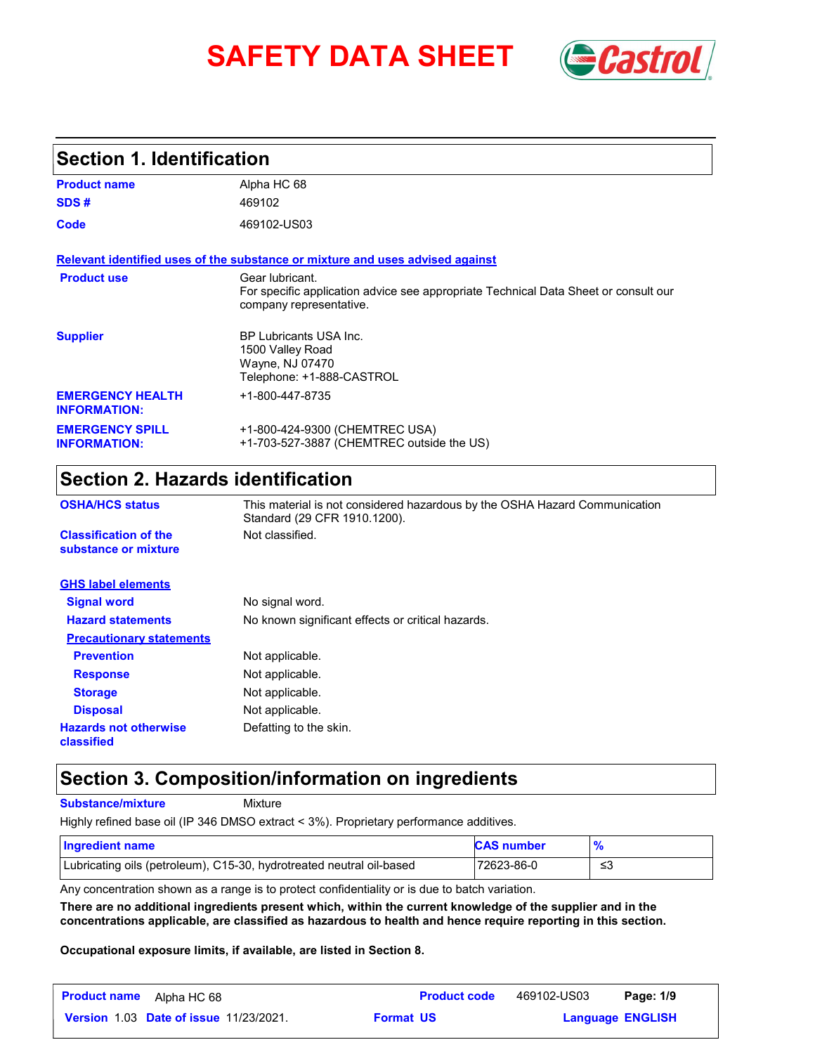# **SAFETY DATA SHEET** *Castrol*



## **Section 1. Identification**

| <b>Product name</b>                            | Alpha HC 68                                                                                                                       |
|------------------------------------------------|-----------------------------------------------------------------------------------------------------------------------------------|
| SDS#                                           | 469102                                                                                                                            |
| Code                                           | 469102-US03                                                                                                                       |
|                                                | Relevant identified uses of the substance or mixture and uses advised against                                                     |
| <b>Product use</b>                             | Gear lubricant.<br>For specific application advice see appropriate Technical Data Sheet or consult our<br>company representative. |
| <b>Supplier</b>                                | <b>BP Lubricants USA Inc.</b><br>1500 Valley Road<br>Wayne, NJ 07470<br>Telephone: +1-888-CASTROL                                 |
| <b>EMERGENCY HEALTH</b><br><b>INFORMATION:</b> | +1-800-447-8735                                                                                                                   |
| <b>EMERGENCY SPILL</b><br><b>INFORMATION:</b>  | +1-800-424-9300 (CHEMTREC USA)<br>+1-703-527-3887 (CHEMTREC outside the US)                                                       |

## **Section 2. Hazards identification**

| <b>OSHA/HCS status</b>                               | This material is not considered hazardous by the OSHA Hazard Communication<br>Standard (29 CFR 1910.1200). |
|------------------------------------------------------|------------------------------------------------------------------------------------------------------------|
| <b>Classification of the</b><br>substance or mixture | Not classified.                                                                                            |
| <b>GHS label elements</b>                            |                                                                                                            |
| <b>Signal word</b>                                   | No signal word.                                                                                            |
| <b>Hazard statements</b>                             | No known significant effects or critical hazards.                                                          |
| <b>Precautionary statements</b>                      |                                                                                                            |
| <b>Prevention</b>                                    | Not applicable.                                                                                            |
| <b>Response</b>                                      | Not applicable.                                                                                            |
| <b>Storage</b>                                       | Not applicable.                                                                                            |
| <b>Disposal</b>                                      | Not applicable.                                                                                            |
| <b>Hazards not otherwise</b><br>classified           | Defatting to the skin.                                                                                     |

## **Section 3. Composition/information on ingredients**

**Substance/mixture**

Mixture

Highly refined base oil (IP 346 DMSO extract < 3%). Proprietary performance additives.

| Ingredient name                                                      | <b>CAS number</b> |     |
|----------------------------------------------------------------------|-------------------|-----|
| Lubricating oils (petroleum), C15-30, hydrotreated neutral oil-based | 72623-86-0        | -≤3 |

Any concentration shown as a range is to protect confidentiality or is due to batch variation.

**There are no additional ingredients present which, within the current knowledge of the supplier and in the concentrations applicable, are classified as hazardous to health and hence require reporting in this section.**

**Occupational exposure limits, if available, are listed in Section 8.**

| <b>Product name</b> | Alpha HC 68                                   |                  | <b>Product code</b> | 469102-US03 | Page: 1/9               |  |
|---------------------|-----------------------------------------------|------------------|---------------------|-------------|-------------------------|--|
|                     | <b>Version 1.03 Date of issue 11/23/2021.</b> | <b>Format US</b> |                     |             | <b>Language ENGLISH</b> |  |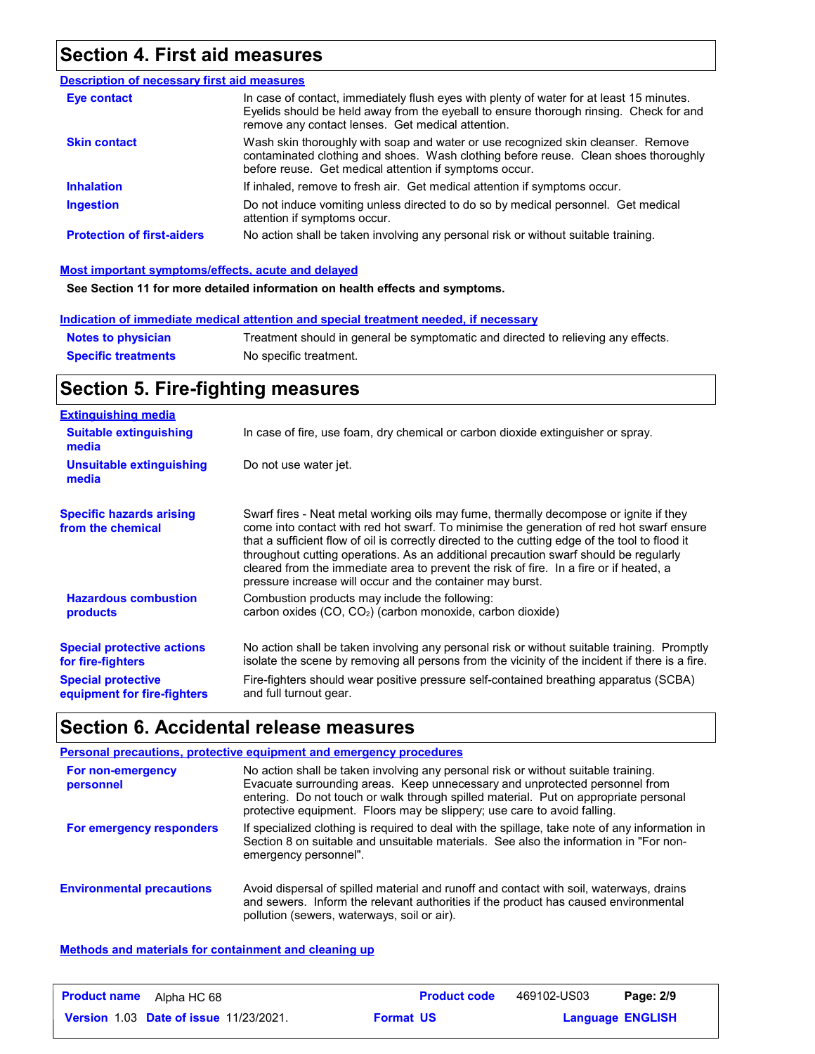## **Section 4. First aid measures**

| <b>Description of necessary first aid measures</b> |                                                                                                                                                                                                                                         |
|----------------------------------------------------|-----------------------------------------------------------------------------------------------------------------------------------------------------------------------------------------------------------------------------------------|
| Eye contact                                        | In case of contact, immediately flush eyes with plenty of water for at least 15 minutes.<br>Eyelids should be held away from the eyeball to ensure thorough rinsing. Check for and<br>remove any contact lenses. Get medical attention. |
| <b>Skin contact</b>                                | Wash skin thoroughly with soap and water or use recognized skin cleanser. Remove<br>contaminated clothing and shoes. Wash clothing before reuse. Clean shoes thoroughly<br>before reuse. Get medical attention if symptoms occur.       |
| <b>Inhalation</b>                                  | If inhaled, remove to fresh air. Get medical attention if symptoms occur.                                                                                                                                                               |
| <b>Ingestion</b>                                   | Do not induce vomiting unless directed to do so by medical personnel. Get medical<br>attention if symptoms occur.                                                                                                                       |
| <b>Protection of first-aiders</b>                  | No action shall be taken involving any personal risk or without suitable training.                                                                                                                                                      |

### **Most important symptoms/effects, acute and delayed**

**See Section 11 for more detailed information on health effects and symptoms.**

### **Indication of immediate medical attention and special treatment needed, if necessary**

| <b>Notes to physician</b>  | Treatment should in general be symptomatic and directed to relieving any effects. |
|----------------------------|-----------------------------------------------------------------------------------|
| <b>Specific treatments</b> | No specific treatment.                                                            |

## **Section 5. Fire-fighting measures**

| <b>Extinguishing media</b>                                                                                         |                                                                                                                                                                                                                                                                                                                                                                                                                                                                                                                                     |
|--------------------------------------------------------------------------------------------------------------------|-------------------------------------------------------------------------------------------------------------------------------------------------------------------------------------------------------------------------------------------------------------------------------------------------------------------------------------------------------------------------------------------------------------------------------------------------------------------------------------------------------------------------------------|
| <b>Suitable extinguishing</b><br>media                                                                             | In case of fire, use foam, dry chemical or carbon dioxide extinguisher or spray.                                                                                                                                                                                                                                                                                                                                                                                                                                                    |
| Unsuitable extinguishing<br>media                                                                                  | Do not use water jet.                                                                                                                                                                                                                                                                                                                                                                                                                                                                                                               |
| <b>Specific hazards arising</b><br>from the chemical                                                               | Swarf fires - Neat metal working oils may fume, thermally decompose or ignite if they<br>come into contact with red hot swarf. To minimise the generation of red hot swarf ensure<br>that a sufficient flow of oil is correctly directed to the cutting edge of the tool to flood it<br>throughout cutting operations. As an additional precaution swarf should be regularly<br>cleared from the immediate area to prevent the risk of fire. In a fire or if heated, a<br>pressure increase will occur and the container may burst. |
| <b>Hazardous combustion</b><br>products                                                                            | Combustion products may include the following:<br>carbon oxides (CO, CO <sub>2</sub> ) (carbon monoxide, carbon dioxide)                                                                                                                                                                                                                                                                                                                                                                                                            |
| <b>Special protective actions</b><br>for fire-fighters<br><b>Special protective</b><br>equipment for fire-fighters | No action shall be taken involving any personal risk or without suitable training. Promptly<br>isolate the scene by removing all persons from the vicinity of the incident if there is a fire.<br>Fire-fighters should wear positive pressure self-contained breathing apparatus (SCBA)<br>and full turnout gear.                                                                                                                                                                                                                   |

## **Section 6. Accidental release measures**

|                                  | Personal precautions, protective equipment and emergency procedures                                                                                                                                                                                                                                                                   |
|----------------------------------|---------------------------------------------------------------------------------------------------------------------------------------------------------------------------------------------------------------------------------------------------------------------------------------------------------------------------------------|
| For non-emergency<br>personnel   | No action shall be taken involving any personal risk or without suitable training.<br>Evacuate surrounding areas. Keep unnecessary and unprotected personnel from<br>entering. Do not touch or walk through spilled material. Put on appropriate personal<br>protective equipment. Floors may be slippery; use care to avoid falling. |
| For emergency responders         | If specialized clothing is required to deal with the spillage, take note of any information in<br>Section 8 on suitable and unsuitable materials. See also the information in "For non-<br>emergency personnel".                                                                                                                      |
| <b>Environmental precautions</b> | Avoid dispersal of spilled material and runoff and contact with soil, waterways, drains<br>and sewers. Inform the relevant authorities if the product has caused environmental<br>pollution (sewers, waterways, soil or air).                                                                                                         |

### **Methods and materials for containment and cleaning up**

| <b>Product name</b><br>Alpha HC 68            | <b>Product code</b> | 469102-US03             | Page: 2/9 |
|-----------------------------------------------|---------------------|-------------------------|-----------|
| <b>Version 1.03 Date of issue 11/23/2021.</b> | <b>Format US</b>    | <b>Language ENGLISH</b> |           |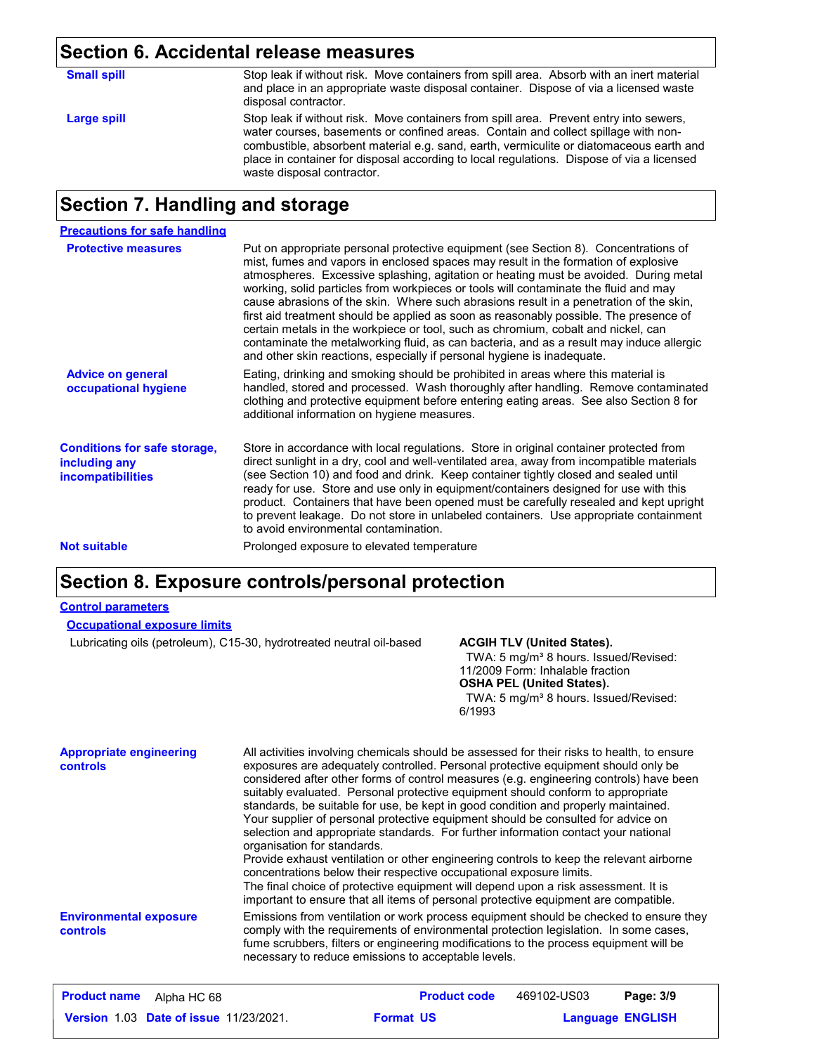## **Section 6. Accidental release measures**

| <b>Small spill</b> | Stop leak if without risk. Move containers from spill area. Absorb with an inert material<br>and place in an appropriate waste disposal container. Dispose of via a licensed waste<br>disposal contractor.                                                                                                                                                                                         |
|--------------------|----------------------------------------------------------------------------------------------------------------------------------------------------------------------------------------------------------------------------------------------------------------------------------------------------------------------------------------------------------------------------------------------------|
| Large spill        | Stop leak if without risk. Move containers from spill area. Prevent entry into sewers,<br>water courses, basements or confined areas. Contain and collect spillage with non-<br>combustible, absorbent material e.g. sand, earth, vermiculite or diatomaceous earth and<br>place in container for disposal according to local regulations. Dispose of via a licensed<br>waste disposal contractor. |

## **Section 7. Handling and storage**

| <b>Precautions for safe handling</b>                                             |                                                                                                                                                                                                                                                                                                                                                                                                                                                                                                                                                                                                                                                                                                                                                                                                          |
|----------------------------------------------------------------------------------|----------------------------------------------------------------------------------------------------------------------------------------------------------------------------------------------------------------------------------------------------------------------------------------------------------------------------------------------------------------------------------------------------------------------------------------------------------------------------------------------------------------------------------------------------------------------------------------------------------------------------------------------------------------------------------------------------------------------------------------------------------------------------------------------------------|
| <b>Protective measures</b>                                                       | Put on appropriate personal protective equipment (see Section 8). Concentrations of<br>mist, fumes and vapors in enclosed spaces may result in the formation of explosive<br>atmospheres. Excessive splashing, agitation or heating must be avoided. During metal<br>working, solid particles from workpieces or tools will contaminate the fluid and may<br>cause abrasions of the skin. Where such abrasions result in a penetration of the skin,<br>first aid treatment should be applied as soon as reasonably possible. The presence of<br>certain metals in the workpiece or tool, such as chromium, cobalt and nickel, can<br>contaminate the metalworking fluid, as can bacteria, and as a result may induce allergic<br>and other skin reactions, especially if personal hygiene is inadequate. |
| <b>Advice on general</b><br>occupational hygiene                                 | Eating, drinking and smoking should be prohibited in areas where this material is<br>handled, stored and processed. Wash thoroughly after handling. Remove contaminated<br>clothing and protective equipment before entering eating areas. See also Section 8 for<br>additional information on hygiene measures.                                                                                                                                                                                                                                                                                                                                                                                                                                                                                         |
| <b>Conditions for safe storage,</b><br>including any<br><i>incompatibilities</i> | Store in accordance with local regulations. Store in original container protected from<br>direct sunlight in a dry, cool and well-ventilated area, away from incompatible materials<br>(see Section 10) and food and drink. Keep container tightly closed and sealed until<br>ready for use. Store and use only in equipment/containers designed for use with this<br>product. Containers that have been opened must be carefully resealed and kept upright<br>to prevent leakage. Do not store in unlabeled containers. Use appropriate containment<br>to avoid environmental contamination.                                                                                                                                                                                                            |
| <b>Not suitable</b>                                                              | Prolonged exposure to elevated temperature                                                                                                                                                                                                                                                                                                                                                                                                                                                                                                                                                                                                                                                                                                                                                               |

## **Section 8. Exposure controls/personal protection**

### **Control parameters**

| <b>Occupational exposure limits</b> |  |
|-------------------------------------|--|
|-------------------------------------|--|

Lubricating oils (petroleum), C15-30, hydrotreated neutral oil-based **ACGIH TLV (United States).**

TWA: 5 mg/m<sup>3</sup> 8 hours. Issued/Revised: 11/2009 Form: Inhalable fraction **OSHA PEL (United States).**

TWA: 5 mg/m<sup>3</sup> 8 hours. Issued/Revised: 6/1993

| <b>Appropriate engineering</b><br>controls | All activities involving chemicals should be assessed for their risks to health, to ensure<br>exposures are adequately controlled. Personal protective equipment should only be<br>considered after other forms of control measures (e.g. engineering controls) have been<br>suitably evaluated. Personal protective equipment should conform to appropriate<br>standards, be suitable for use, be kept in good condition and properly maintained.<br>Your supplier of personal protective equipment should be consulted for advice on<br>selection and appropriate standards. For further information contact your national<br>organisation for standards.<br>Provide exhaust ventilation or other engineering controls to keep the relevant airborne<br>concentrations below their respective occupational exposure limits.<br>The final choice of protective equipment will depend upon a risk assessment. It is<br>important to ensure that all items of personal protective equipment are compatible. |
|--------------------------------------------|------------------------------------------------------------------------------------------------------------------------------------------------------------------------------------------------------------------------------------------------------------------------------------------------------------------------------------------------------------------------------------------------------------------------------------------------------------------------------------------------------------------------------------------------------------------------------------------------------------------------------------------------------------------------------------------------------------------------------------------------------------------------------------------------------------------------------------------------------------------------------------------------------------------------------------------------------------------------------------------------------------|
| <b>Environmental exposure</b><br>controls  | Emissions from ventilation or work process equipment should be checked to ensure they<br>comply with the requirements of environmental protection legislation. In some cases,<br>fume scrubbers, filters or engineering modifications to the process equipment will be<br>necessary to reduce emissions to acceptable levels.                                                                                                                                                                                                                                                                                                                                                                                                                                                                                                                                                                                                                                                                              |

| <b>Product name</b><br>Alpha HC 68            | <b>Product code</b> | 469102-US03 | Page: 3/9               |
|-----------------------------------------------|---------------------|-------------|-------------------------|
| <b>Version 1.03 Date of issue 11/23/2021.</b> | <b>Format US</b>    |             | <b>Language ENGLISH</b> |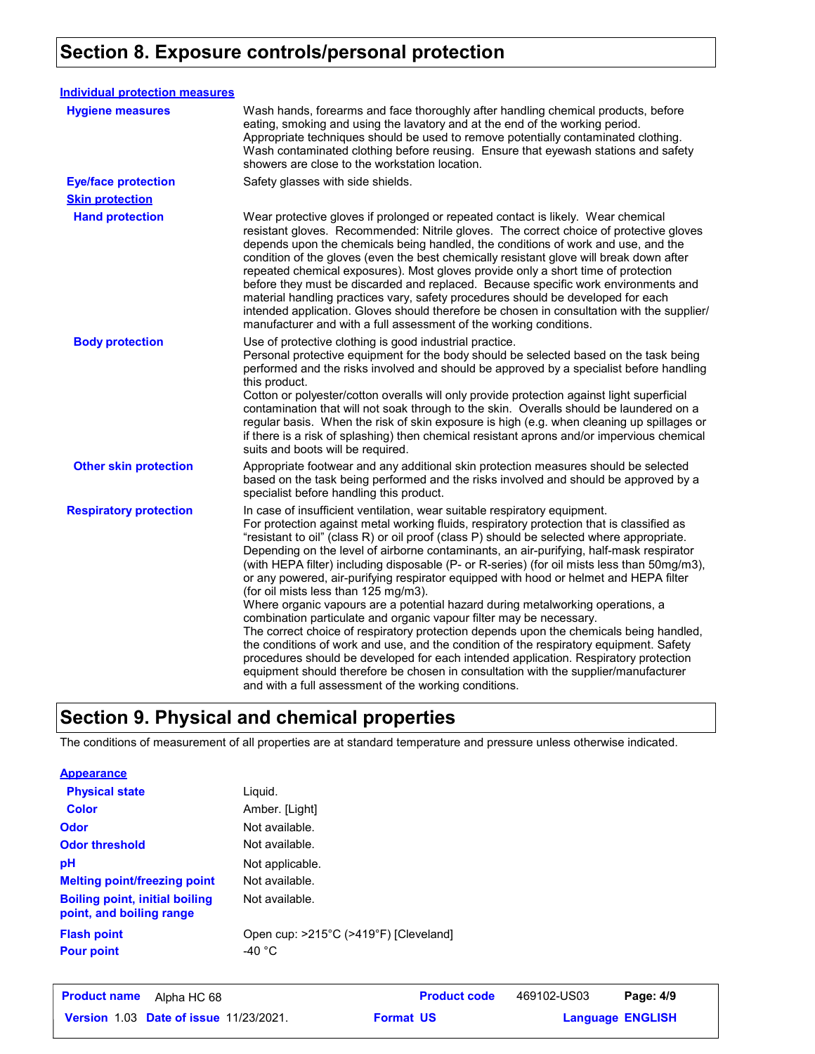## **Section 8. Exposure controls/personal protection**

| <b>Individual protection measures</b> |                                                                                                                                                                                                                                                                                                                                                                                                                                                                                                                                                                                                                                                                                                                                                                                                                                                                                                                                                                                                                                                                                                                                                                                     |
|---------------------------------------|-------------------------------------------------------------------------------------------------------------------------------------------------------------------------------------------------------------------------------------------------------------------------------------------------------------------------------------------------------------------------------------------------------------------------------------------------------------------------------------------------------------------------------------------------------------------------------------------------------------------------------------------------------------------------------------------------------------------------------------------------------------------------------------------------------------------------------------------------------------------------------------------------------------------------------------------------------------------------------------------------------------------------------------------------------------------------------------------------------------------------------------------------------------------------------------|
| <b>Hygiene measures</b>               | Wash hands, forearms and face thoroughly after handling chemical products, before<br>eating, smoking and using the lavatory and at the end of the working period.<br>Appropriate techniques should be used to remove potentially contaminated clothing.<br>Wash contaminated clothing before reusing. Ensure that eyewash stations and safety<br>showers are close to the workstation location.                                                                                                                                                                                                                                                                                                                                                                                                                                                                                                                                                                                                                                                                                                                                                                                     |
| <b>Eye/face protection</b>            | Safety glasses with side shields.                                                                                                                                                                                                                                                                                                                                                                                                                                                                                                                                                                                                                                                                                                                                                                                                                                                                                                                                                                                                                                                                                                                                                   |
| <b>Skin protection</b>                |                                                                                                                                                                                                                                                                                                                                                                                                                                                                                                                                                                                                                                                                                                                                                                                                                                                                                                                                                                                                                                                                                                                                                                                     |
| <b>Hand protection</b>                | Wear protective gloves if prolonged or repeated contact is likely. Wear chemical<br>resistant gloves. Recommended: Nitrile gloves. The correct choice of protective gloves<br>depends upon the chemicals being handled, the conditions of work and use, and the<br>condition of the gloves (even the best chemically resistant glove will break down after<br>repeated chemical exposures). Most gloves provide only a short time of protection<br>before they must be discarded and replaced. Because specific work environments and<br>material handling practices vary, safety procedures should be developed for each<br>intended application. Gloves should therefore be chosen in consultation with the supplier/<br>manufacturer and with a full assessment of the working conditions.                                                                                                                                                                                                                                                                                                                                                                                       |
| <b>Body protection</b>                | Use of protective clothing is good industrial practice.<br>Personal protective equipment for the body should be selected based on the task being<br>performed and the risks involved and should be approved by a specialist before handling<br>this product.<br>Cotton or polyester/cotton overalls will only provide protection against light superficial<br>contamination that will not soak through to the skin. Overalls should be laundered on a<br>regular basis. When the risk of skin exposure is high (e.g. when cleaning up spillages or<br>if there is a risk of splashing) then chemical resistant aprons and/or impervious chemical<br>suits and boots will be required.                                                                                                                                                                                                                                                                                                                                                                                                                                                                                               |
| <b>Other skin protection</b>          | Appropriate footwear and any additional skin protection measures should be selected<br>based on the task being performed and the risks involved and should be approved by a<br>specialist before handling this product.                                                                                                                                                                                                                                                                                                                                                                                                                                                                                                                                                                                                                                                                                                                                                                                                                                                                                                                                                             |
| <b>Respiratory protection</b>         | In case of insufficient ventilation, wear suitable respiratory equipment.<br>For protection against metal working fluids, respiratory protection that is classified as<br>"resistant to oil" (class R) or oil proof (class P) should be selected where appropriate.<br>Depending on the level of airborne contaminants, an air-purifying, half-mask respirator<br>(with HEPA filter) including disposable (P- or R-series) (for oil mists less than 50mg/m3),<br>or any powered, air-purifying respirator equipped with hood or helmet and HEPA filter<br>(for oil mists less than 125 mg/m3).<br>Where organic vapours are a potential hazard during metalworking operations, a<br>combination particulate and organic vapour filter may be necessary.<br>The correct choice of respiratory protection depends upon the chemicals being handled,<br>the conditions of work and use, and the condition of the respiratory equipment. Safety<br>procedures should be developed for each intended application. Respiratory protection<br>equipment should therefore be chosen in consultation with the supplier/manufacturer<br>and with a full assessment of the working conditions. |

## **Section 9. Physical and chemical properties**

The conditions of measurement of all properties are at standard temperature and pressure unless otherwise indicated.

### **Appearance**

| <b>Physical state</b>                                             | Liquid.                                                   |
|-------------------------------------------------------------------|-----------------------------------------------------------|
| <b>Color</b>                                                      | Amber. [Light]                                            |
| <b>Odor</b>                                                       | Not available.                                            |
| <b>Odor threshold</b>                                             | Not available.                                            |
| pH                                                                | Not applicable.                                           |
| <b>Melting point/freezing point</b>                               | Not available.                                            |
| <b>Boiling point, initial boiling</b><br>point, and boiling range | Not available.                                            |
| <b>Flash point</b><br><b>Pour point</b>                           | Open cup: >215°C (>419°F) [Cleveland]<br>-40 $^{\circ}$ C |

| <b>Product name</b><br>Alpha HC 68            | <b>Product code</b> | 469102-US03 | Page: 4/9               |  |
|-----------------------------------------------|---------------------|-------------|-------------------------|--|
| <b>Version 1.03 Date of issue 11/23/2021.</b> | <b>Format US</b>    |             | <b>Language ENGLISH</b> |  |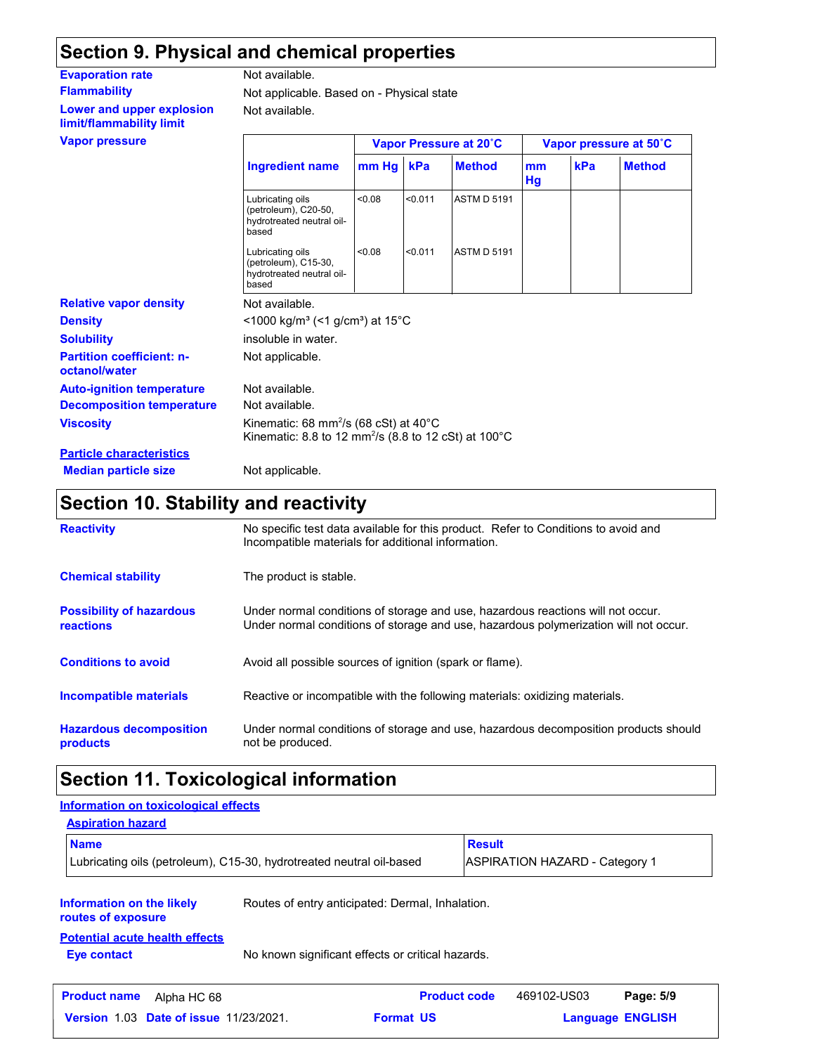## **Section 9. Physical and chemical properties**

| <b>Evaporation rate</b>                               | Not available.                                                                                                                             |        |         |                        |          |     |                        |
|-------------------------------------------------------|--------------------------------------------------------------------------------------------------------------------------------------------|--------|---------|------------------------|----------|-----|------------------------|
| <b>Flammability</b>                                   | Not applicable. Based on - Physical state                                                                                                  |        |         |                        |          |     |                        |
| Lower and upper explosion<br>limit/flammability limit | Not available.                                                                                                                             |        |         |                        |          |     |                        |
| <b>Vapor pressure</b>                                 |                                                                                                                                            |        |         | Vapor Pressure at 20°C |          |     | Vapor pressure at 50°C |
|                                                       | <b>Ingredient name</b>                                                                                                                     | mm Hg  | kPa     | <b>Method</b>          | mm<br>Hg | kPa | <b>Method</b>          |
|                                                       | Lubricating oils<br>(petroleum), C20-50,<br>hydrotreated neutral oil-<br>based                                                             | < 0.08 | < 0.011 | <b>ASTM D 5191</b>     |          |     |                        |
|                                                       | Lubricating oils<br>(petroleum), C15-30,<br>hydrotreated neutral oil-<br>based                                                             | < 0.08 | < 0.011 | <b>ASTM D 5191</b>     |          |     |                        |
| <b>Relative vapor density</b>                         | Not available.                                                                                                                             |        |         |                        |          |     |                        |
| <b>Density</b>                                        | <1000 kg/m <sup>3</sup> (<1 g/cm <sup>3</sup> ) at 15 <sup>°</sup> C                                                                       |        |         |                        |          |     |                        |
| <b>Solubility</b>                                     | insoluble in water.                                                                                                                        |        |         |                        |          |     |                        |
| <b>Partition coefficient: n-</b><br>octanol/water     | Not applicable.                                                                                                                            |        |         |                        |          |     |                        |
| <b>Auto-ignition temperature</b>                      | Not available.                                                                                                                             |        |         |                        |          |     |                        |
| <b>Decomposition temperature</b>                      | Not available.                                                                                                                             |        |         |                        |          |     |                        |
| <b>Viscosity</b>                                      | Kinematic: 68 mm <sup>2</sup> /s (68 cSt) at $40^{\circ}$ C<br>Kinematic: 8.8 to 12 mm <sup>2</sup> /s (8.8 to 12 cSt) at 100 $^{\circ}$ C |        |         |                        |          |     |                        |
| <b>Particle characteristics</b>                       |                                                                                                                                            |        |         |                        |          |     |                        |

## **Median particle size** Not applicable.

## **Section 10. Stability and reactivity**

| <b>Reactivity</b>                            | No specific test data available for this product. Refer to Conditions to avoid and<br>Incompatible materials for additional information.                                |
|----------------------------------------------|-------------------------------------------------------------------------------------------------------------------------------------------------------------------------|
| <b>Chemical stability</b>                    | The product is stable.                                                                                                                                                  |
| <b>Possibility of hazardous</b><br>reactions | Under normal conditions of storage and use, hazardous reactions will not occur.<br>Under normal conditions of storage and use, hazardous polymerization will not occur. |
| <b>Conditions to avoid</b>                   | Avoid all possible sources of ignition (spark or flame).                                                                                                                |
| Incompatible materials                       | Reactive or incompatible with the following materials: oxidizing materials.                                                                                             |
| <b>Hazardous decomposition</b><br>products   | Under normal conditions of storage and use, hazardous decomposition products should<br>not be produced.                                                                 |

## **Section 11. Toxicological information**

| Information on toxicological effects                                 |  |                                                   |               |                                |                         |
|----------------------------------------------------------------------|--|---------------------------------------------------|---------------|--------------------------------|-------------------------|
| <b>Aspiration hazard</b>                                             |  |                                                   |               |                                |                         |
| <b>Name</b>                                                          |  |                                                   | <b>Result</b> |                                |                         |
| Lubricating oils (petroleum), C15-30, hydrotreated neutral oil-based |  |                                                   |               | ASPIRATION HAZARD - Category 1 |                         |
| Information on the likely<br>routes of exposure                      |  | Routes of entry anticipated: Dermal, Inhalation.  |               |                                |                         |
| <b>Potential acute health effects</b><br><b>Eye contact</b>          |  | No known significant effects or critical hazards. |               |                                |                         |
| <b>Product name</b><br>Alpha HC 68                                   |  | <b>Product code</b>                               |               | 469102-US03                    | Page: 5/9               |
| <b>Version 1.03 Date of issue 11/23/2021.</b>                        |  | <b>Format US</b>                                  |               |                                | <b>Language ENGLISH</b> |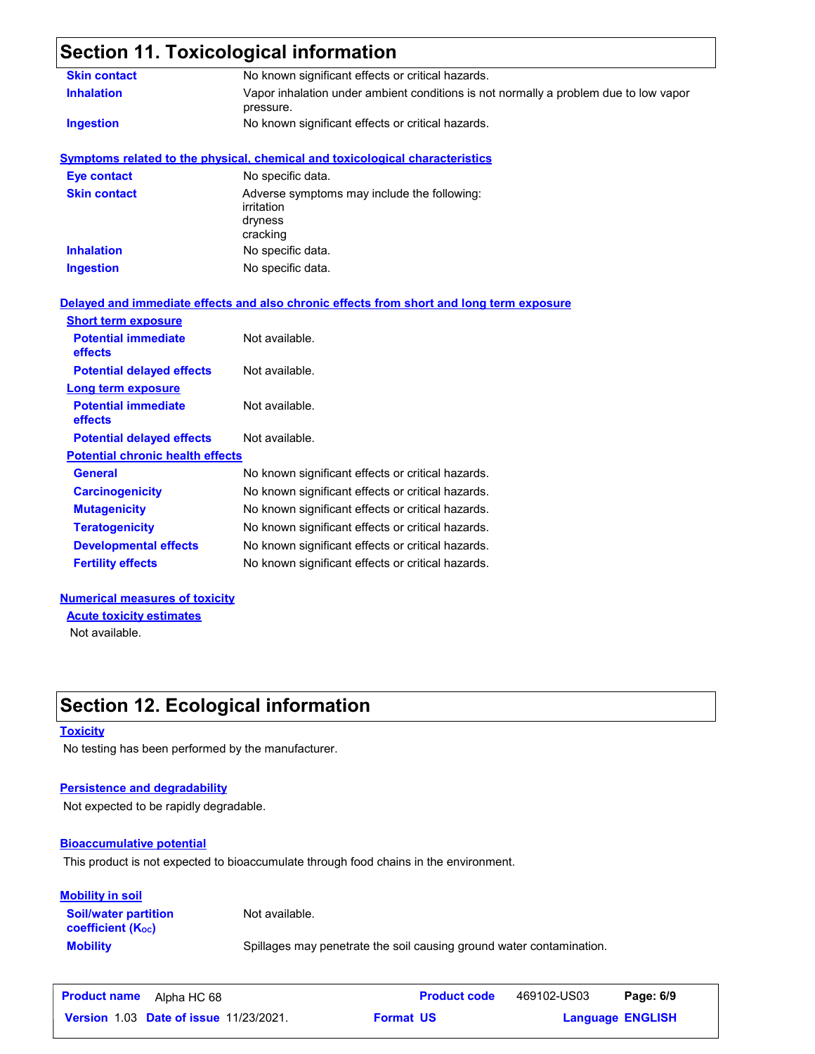## **Section 11. Toxicological information**

| <b>Skin contact</b>                     | No known significant effects or critical hazards.                                                 |  |  |  |  |
|-----------------------------------------|---------------------------------------------------------------------------------------------------|--|--|--|--|
| <b>Inhalation</b>                       | Vapor inhalation under ambient conditions is not normally a problem due to low vapor<br>pressure. |  |  |  |  |
| <b>Ingestion</b>                        | No known significant effects or critical hazards.                                                 |  |  |  |  |
|                                         | <b>Symptoms related to the physical, chemical and toxicological characteristics</b>               |  |  |  |  |
| <b>Eye contact</b>                      | No specific data.                                                                                 |  |  |  |  |
| <b>Skin contact</b>                     | Adverse symptoms may include the following:<br>irritation<br>dryness<br>cracking                  |  |  |  |  |
| <b>Inhalation</b>                       | No specific data.                                                                                 |  |  |  |  |
| <b>Ingestion</b>                        | No specific data.                                                                                 |  |  |  |  |
|                                         | Delayed and immediate effects and also chronic effects from short and long term exposure          |  |  |  |  |
| <b>Short term exposure</b>              |                                                                                                   |  |  |  |  |
| <b>Potential immediate</b><br>effects   | Not available.                                                                                    |  |  |  |  |
| <b>Potential delayed effects</b>        | Not available.                                                                                    |  |  |  |  |
| Long term exposure                      |                                                                                                   |  |  |  |  |
| <b>Potential immediate</b><br>effects   | Not available.                                                                                    |  |  |  |  |
| <b>Potential delayed effects</b>        | Not available.                                                                                    |  |  |  |  |
| <b>Potential chronic health effects</b> |                                                                                                   |  |  |  |  |
| <b>General</b>                          | No known significant effects or critical hazards.                                                 |  |  |  |  |
| <b>Carcinogenicity</b>                  | No known significant effects or critical hazards.                                                 |  |  |  |  |
| <b>Mutagenicity</b>                     | No known significant effects or critical hazards.                                                 |  |  |  |  |
| <b>Teratogenicity</b>                   | No known significant effects or critical hazards.                                                 |  |  |  |  |
| <b>Developmental effects</b>            | No known significant effects or critical hazards.                                                 |  |  |  |  |
| <b>Fertility effects</b>                | No known significant effects or critical hazards.                                                 |  |  |  |  |
|                                         |                                                                                                   |  |  |  |  |

### **Numerical measures of toxicity**

Not available. **Acute toxicity estimates**

## **Section 12. Ecological information**

### **Toxicity**

No testing has been performed by the manufacturer.

### **Persistence and degradability**

Not expected to be rapidly degradable.

### **Bioaccumulative potential**

This product is not expected to bioaccumulate through food chains in the environment.

#### **Mobility in soil**

**Soil/water partition coefficient (KOC)**

Not available.

**Mobility** Spillages may penetrate the soil causing ground water contamination.

| <b>Product name</b><br>Alpha HC 68            | <b>Product code</b> | 469102-US03 | Page: 6/9               |  |
|-----------------------------------------------|---------------------|-------------|-------------------------|--|
| <b>Version 1.03 Date of issue 11/23/2021.</b> | <b>Format US</b>    |             | <b>Language ENGLISH</b> |  |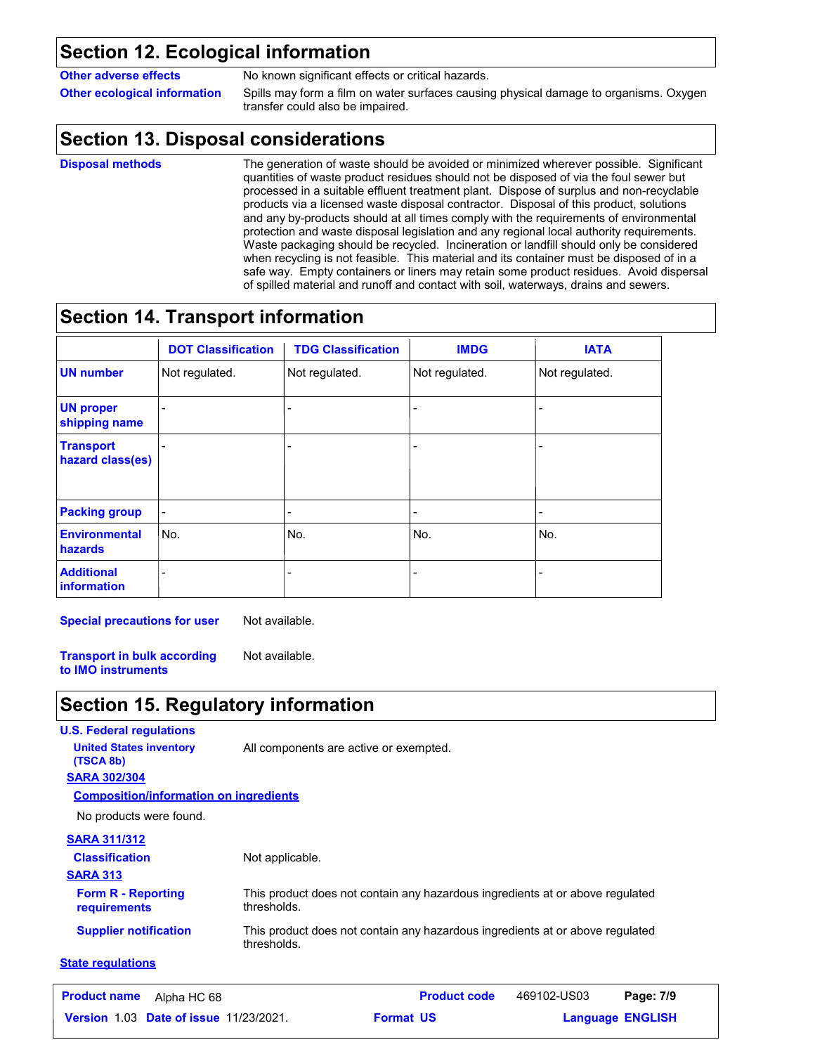## **Section 12. Ecological information**

**Other adverse effects** No known significant effects or critical hazards.

**Other ecological information** Spills may form a film on water surfaces causing physical damage to organisms. Oxygen transfer could also be impaired.

## **Section 13. Disposal considerations**

**Disposal methods**

The generation of waste should be avoided or minimized wherever possible. Significant quantities of waste product residues should not be disposed of via the foul sewer but processed in a suitable effluent treatment plant. Dispose of surplus and non-recyclable products via a licensed waste disposal contractor. Disposal of this product, solutions and any by-products should at all times comply with the requirements of environmental protection and waste disposal legislation and any regional local authority requirements. Waste packaging should be recycled. Incineration or landfill should only be considered when recycling is not feasible. This material and its container must be disposed of in a safe way. Empty containers or liners may retain some product residues. Avoid dispersal of spilled material and runoff and contact with soil, waterways, drains and sewers.

## **Section 14. Transport information**

|                                      | <b>DOT Classification</b> | <b>TDG Classification</b> | <b>IMDG</b>    | <b>IATA</b>    |
|--------------------------------------|---------------------------|---------------------------|----------------|----------------|
| <b>UN number</b>                     | Not regulated.            | Not regulated.            | Not regulated. | Not regulated. |
| <b>UN proper</b><br>shipping name    |                           | $\overline{a}$            |                |                |
| <b>Transport</b><br>hazard class(es) |                           |                           |                |                |
| <b>Packing group</b>                 | $\overline{a}$            | -                         | $\overline{a}$ |                |
| <b>Environmental</b><br>hazards      | No.                       | No.                       | No.            | No.            |
| <b>Additional</b><br>information     |                           |                           |                |                |

**Special precautions for user** Not available.

**Transport in bulk according to IMO instruments** Not available.

## **Section 15. Regulatory information**

| <b>U.S. Federal regulations</b>               |                                                                                              |
|-----------------------------------------------|----------------------------------------------------------------------------------------------|
| <b>United States inventory</b><br>(TSCA 8b)   | All components are active or exempted.                                                       |
| <b>SARA 302/304</b>                           |                                                                                              |
| <b>Composition/information on ingredients</b> |                                                                                              |
| No products were found.                       |                                                                                              |
| <b>SARA 311/312</b>                           |                                                                                              |
| <b>Classification</b>                         | Not applicable.                                                                              |
| <b>SARA 313</b>                               |                                                                                              |
| <b>Form R - Reporting</b><br>requirements     | This product does not contain any hazardous ingredients at or above regulated<br>thresholds. |
| <b>Supplier notification</b>                  | This product does not contain any hazardous ingredients at or above regulated<br>thresholds. |
| <b>State regulations</b>                      |                                                                                              |

| <b>Product name</b> Alpha HC 68 |                                               |                  | <b>Product code</b> | 469102-US03             | Page: 7/9 |  |
|---------------------------------|-----------------------------------------------|------------------|---------------------|-------------------------|-----------|--|
|                                 | <b>Version 1.03 Date of issue 11/23/2021.</b> | <b>Format US</b> |                     | <b>Language ENGLISH</b> |           |  |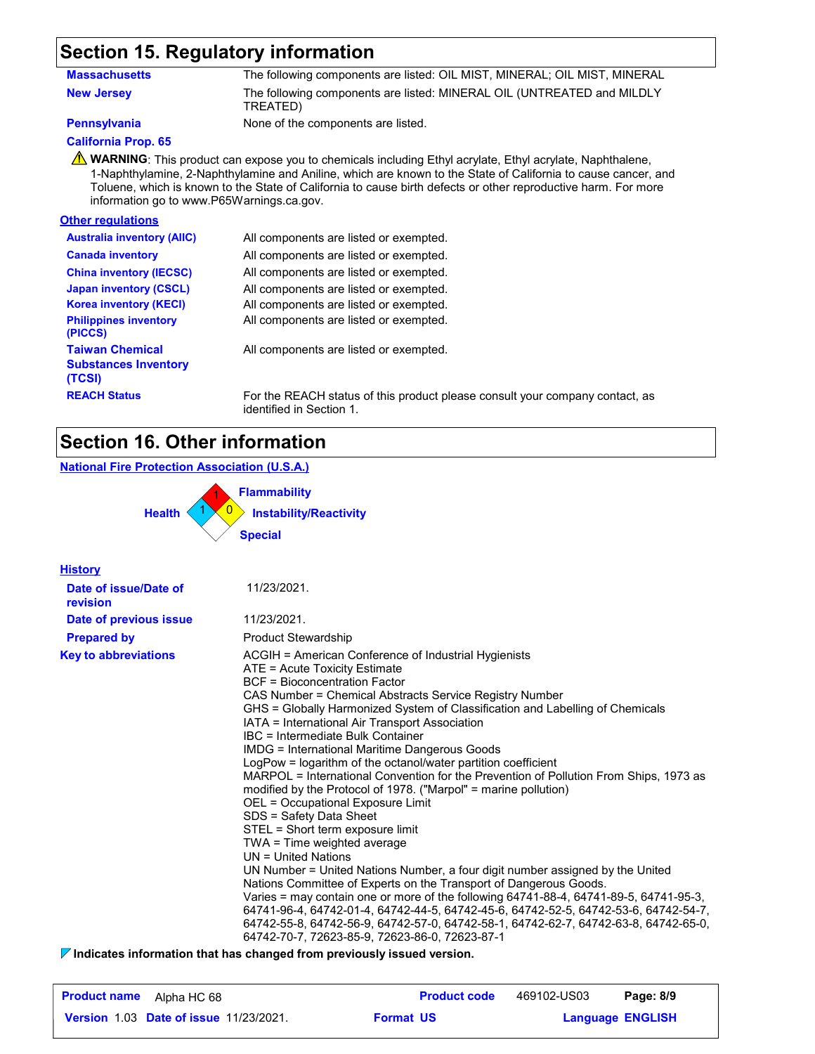## **Section 15. Regulatory information**

| Massachusetts     | The following components are listed: OIL MIST, MINERAL; OIL MIST, MINERAL          |
|-------------------|------------------------------------------------------------------------------------|
| <b>New Jersey</b> | The following components are listed: MINERAL OIL (UNTREATED and MILDLY<br>TREATED) |

**Pennsylvania** None of the components are listed.

### **California Prop. 65**

**A** WARNING: This product can expose you to chemicals including Ethyl acrylate, Ethyl acrylate, Naphthalene, 1-Naphthylamine, 2-Naphthylamine and Aniline, which are known to the State of California to cause cancer, and Toluene, which is known to the State of California to cause birth defects or other reproductive harm. For more information go to www.P65Warnings.ca.gov.

### **Other regulations**

| <b>Australia inventory (AIIC)</b>                               | All components are listed or exempted.      |
|-----------------------------------------------------------------|---------------------------------------------|
| <b>Canada inventory</b>                                         | All components are listed or exempted.      |
| <b>China inventory (IECSC)</b>                                  | All components are listed or exempted.      |
| <b>Japan inventory (CSCL)</b>                                   | All components are listed or exempted.      |
| <b>Korea inventory (KECI)</b>                                   | All components are listed or exempted.      |
| <b>Philippines inventory</b><br>(PICCS)                         | All components are listed or exempted.      |
| <b>Taiwan Chemical</b><br><b>Substances Inventory</b><br>(TCSI) | All components are listed or exempted.      |
| <b>REACH Status</b>                                             | For the REACH status of this product please |

ase consult your company contact, as identified in Section 1.

## **Section 16. Other information**

### **National Fire Protection Association (U.S.A.)**

0 **Instability/Reactivity** 1 **Flammability** 1 0 1 **Health Special**

| <b>History</b>                    |                                                                                                                                                                                                                                                                                                                                                                                                                                                                                                                                                                                                                                                                                                                                                                                                                                                                                                                                                                                                                                                                                                                                                                                                                                                                                           |
|-----------------------------------|-------------------------------------------------------------------------------------------------------------------------------------------------------------------------------------------------------------------------------------------------------------------------------------------------------------------------------------------------------------------------------------------------------------------------------------------------------------------------------------------------------------------------------------------------------------------------------------------------------------------------------------------------------------------------------------------------------------------------------------------------------------------------------------------------------------------------------------------------------------------------------------------------------------------------------------------------------------------------------------------------------------------------------------------------------------------------------------------------------------------------------------------------------------------------------------------------------------------------------------------------------------------------------------------|
| Date of issue/Date of<br>revision | 11/23/2021.                                                                                                                                                                                                                                                                                                                                                                                                                                                                                                                                                                                                                                                                                                                                                                                                                                                                                                                                                                                                                                                                                                                                                                                                                                                                               |
| Date of previous issue            | 11/23/2021.                                                                                                                                                                                                                                                                                                                                                                                                                                                                                                                                                                                                                                                                                                                                                                                                                                                                                                                                                                                                                                                                                                                                                                                                                                                                               |
| <b>Prepared by</b>                | <b>Product Stewardship</b>                                                                                                                                                                                                                                                                                                                                                                                                                                                                                                                                                                                                                                                                                                                                                                                                                                                                                                                                                                                                                                                                                                                                                                                                                                                                |
| <b>Key to abbreviations</b>       | ACGIH = American Conference of Industrial Hygienists<br>ATE = Acute Toxicity Estimate<br>BCF = Bioconcentration Factor<br>CAS Number = Chemical Abstracts Service Registry Number<br>GHS = Globally Harmonized System of Classification and Labelling of Chemicals<br>IATA = International Air Transport Association<br>IBC = Intermediate Bulk Container<br><b>IMDG = International Maritime Dangerous Goods</b><br>LogPow = logarithm of the octanol/water partition coefficient<br>MARPOL = International Convention for the Prevention of Pollution From Ships, 1973 as<br>modified by the Protocol of 1978. ("Marpol" = marine pollution)<br>OEL = Occupational Exposure Limit<br>SDS = Safety Data Sheet<br>STEL = Short term exposure limit<br>TWA = Time weighted average<br>$UN = United Nations$<br>UN Number = United Nations Number, a four digit number assigned by the United<br>Nations Committee of Experts on the Transport of Dangerous Goods.<br>Varies = may contain one or more of the following 64741-88-4, 64741-89-5, 64741-95-3,<br>64741-96-4, 64742-01-4, 64742-44-5, 64742-45-6, 64742-52-5, 64742-53-6, 64742-54-7,<br>64742-55-8, 64742-56-9, 64742-57-0, 64742-58-1, 64742-62-7, 64742-63-8, 64742-65-0,<br>64742-70-7, 72623-85-9, 72623-86-0, 72623-87-1 |

**Indicates information that has changed from previously issued version.**

| <b>Product name</b><br>Alpha HC 68            | <b>Product code</b> | 469102-US03             | Page: 8/9 |
|-----------------------------------------------|---------------------|-------------------------|-----------|
| <b>Version 1.03 Date of issue 11/23/2021.</b> | <b>Format US</b>    | <b>Language ENGLISH</b> |           |